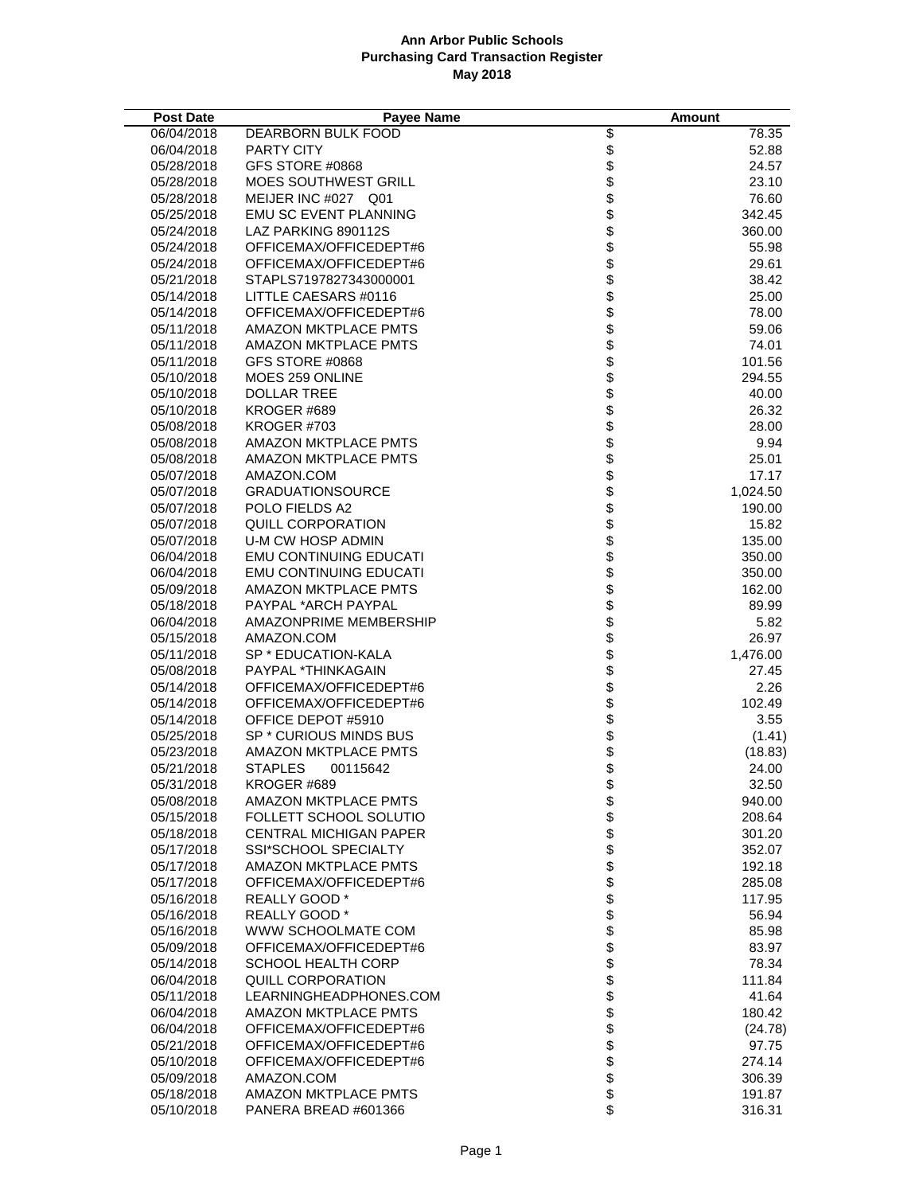| <b>Post Date</b>         | <b>Payee Name</b>                                |                       | <b>Amount</b>     |
|--------------------------|--------------------------------------------------|-----------------------|-------------------|
| 06/04/2018               | DEARBORN BULK FOOD                               |                       | 78.35             |
| 06/04/2018               | PARTY CITY                                       | ୫୫୫୫୫୫୫୫୫୫୫୫୫୫୫୫୫୫୫୫୫ | 52.88             |
| 05/28/2018               | GFS STORE #0868                                  |                       | 24.57             |
| 05/28/2018               | <b>MOES SOUTHWEST GRILL</b>                      |                       | 23.10             |
| 05/28/2018               | MEIJER INC #027 Q01                              |                       | 76.60             |
| 05/25/2018               | <b>EMU SC EVENT PLANNING</b>                     |                       | 342.45            |
| 05/24/2018               | LAZ PARKING 890112S                              |                       | 360.00            |
| 05/24/2018               | OFFICEMAX/OFFICEDEPT#6                           |                       | 55.98             |
| 05/24/2018               | OFFICEMAX/OFFICEDEPT#6                           |                       | 29.61             |
| 05/21/2018               | STAPLS7197827343000001                           |                       | 38.42             |
| 05/14/2018               | LITTLE CAESARS #0116                             |                       | 25.00             |
| 05/14/2018               | OFFICEMAX/OFFICEDEPT#6                           |                       | 78.00             |
| 05/11/2018               | AMAZON MKTPLACE PMTS                             |                       | 59.06             |
| 05/11/2018               | AMAZON MKTPLACE PMTS                             |                       | 74.01             |
| 05/11/2018               | GFS STORE #0868                                  |                       | 101.56            |
| 05/10/2018               | MOES 259 ONLINE                                  |                       | 294.55            |
| 05/10/2018               | DOLLAR TREE                                      |                       | 40.00             |
| 05/10/2018               | KROGER #689                                      |                       | 26.32             |
| 05/08/2018               | KROGER#703                                       |                       | 28.00             |
| 05/08/2018               | AMAZON MKTPLACE PMTS                             |                       | 9.94              |
| 05/08/2018               | AMAZON MKTPLACE PMTS                             |                       | 25.01             |
| 05/07/2018               | AMAZON.COM                                       |                       | 17.17             |
| 05/07/2018               | <b>GRADUATIONSOURCE</b>                          |                       | 1,024.50          |
| 05/07/2018               | POLO FIELDS A2                                   |                       | 190.00            |
| 05/07/2018               | QUILL CORPORATION                                |                       | 15.82             |
| 05/07/2018               | U-M CW HOSP ADMIN                                |                       | 135.00            |
| 06/04/2018               | <b>EMU CONTINUING EDUCATI</b>                    |                       | 350.00            |
| 06/04/2018               | <b>EMU CONTINUING EDUCATI</b>                    |                       | 350.00            |
| 05/09/2018               | <b>AMAZON MKTPLACE PMTS</b>                      |                       | 162.00            |
| 05/18/2018               | PAYPAL *ARCH PAYPAL                              | <b>8888888888</b>     | 89.99             |
| 06/04/2018               | AMAZONPRIME MEMBERSHIP                           |                       | 5.82              |
| 05/15/2018               | AMAZON.COM                                       | <b>88888888</b>       | 26.97             |
| 05/11/2018               | SP * EDUCATION-KALA                              |                       | 1,476.00          |
| 05/08/2018               | PAYPAL *THINKAGAIN                               |                       | 27.45             |
| 05/14/2018<br>05/14/2018 | OFFICEMAX/OFFICEDEPT#6<br>OFFICEMAX/OFFICEDEPT#6 |                       | 2.26              |
| 05/14/2018               | OFFICE DEPOT #5910                               |                       | 102.49<br>3.55    |
| 05/25/2018               | SP * CURIOUS MINDS BUS                           |                       |                   |
| 05/23/2018               | AMAZON MKTPLACE PMTS                             |                       | (1.41)<br>(18.83) |
| 05/21/2018               | <b>STAPLES</b><br>00115642                       |                       | 24.00             |
| 05/31/2018               | KROGER #689                                      | \$                    | 32.50             |
| 05/08/2018               | <b>AMAZON MKTPLACE PMTS</b>                      | \$                    | 940.00            |
| 05/15/2018               | FOLLETT SCHOOL SOLUTIO                           |                       | 208.64            |
| 05/18/2018               | <b>CENTRAL MICHIGAN PAPER</b>                    |                       | 301.20            |
| 05/17/2018               | <b>SSI*SCHOOL SPECIALTY</b>                      | \$\$\$\$              | 352.07            |
| 05/17/2018               | <b>AMAZON MKTPLACE PMTS</b>                      |                       | 192.18            |
| 05/17/2018               | OFFICEMAX/OFFICEDEPT#6                           | \$                    | 285.08            |
| 05/16/2018               | <b>REALLY GOOD*</b>                              |                       | 117.95            |
| 05/16/2018               | REALLY GOOD *                                    | \$\$\$                | 56.94             |
| 05/16/2018               | WWW SCHOOLMATE COM                               |                       | 85.98             |
| 05/09/2018               | OFFICEMAX/OFFICEDEPT#6                           |                       | 83.97             |
| 05/14/2018               | <b>SCHOOL HEALTH CORP</b>                        | \$                    | 78.34             |
| 06/04/2018               | QUILL CORPORATION                                | \$                    | 111.84            |
| 05/11/2018               | LEARNINGHEADPHONES.COM                           |                       | 41.64             |
| 06/04/2018               | <b>AMAZON MKTPLACE PMTS</b>                      | \$                    | 180.42            |
| 06/04/2018               | OFFICEMAX/OFFICEDEPT#6                           | \$                    | (24.78)           |
| 05/21/2018               | OFFICEMAX/OFFICEDEPT#6                           | \$                    | 97.75             |
| 05/10/2018               | OFFICEMAX/OFFICEDEPT#6                           |                       | 274.14            |
| 05/09/2018               | AMAZON.COM                                       | \$                    | 306.39            |
| 05/18/2018               | AMAZON MKTPLACE PMTS                             | \$                    | 191.87            |
| 05/10/2018               | PANERA BREAD #601366                             | \$                    | 316.31            |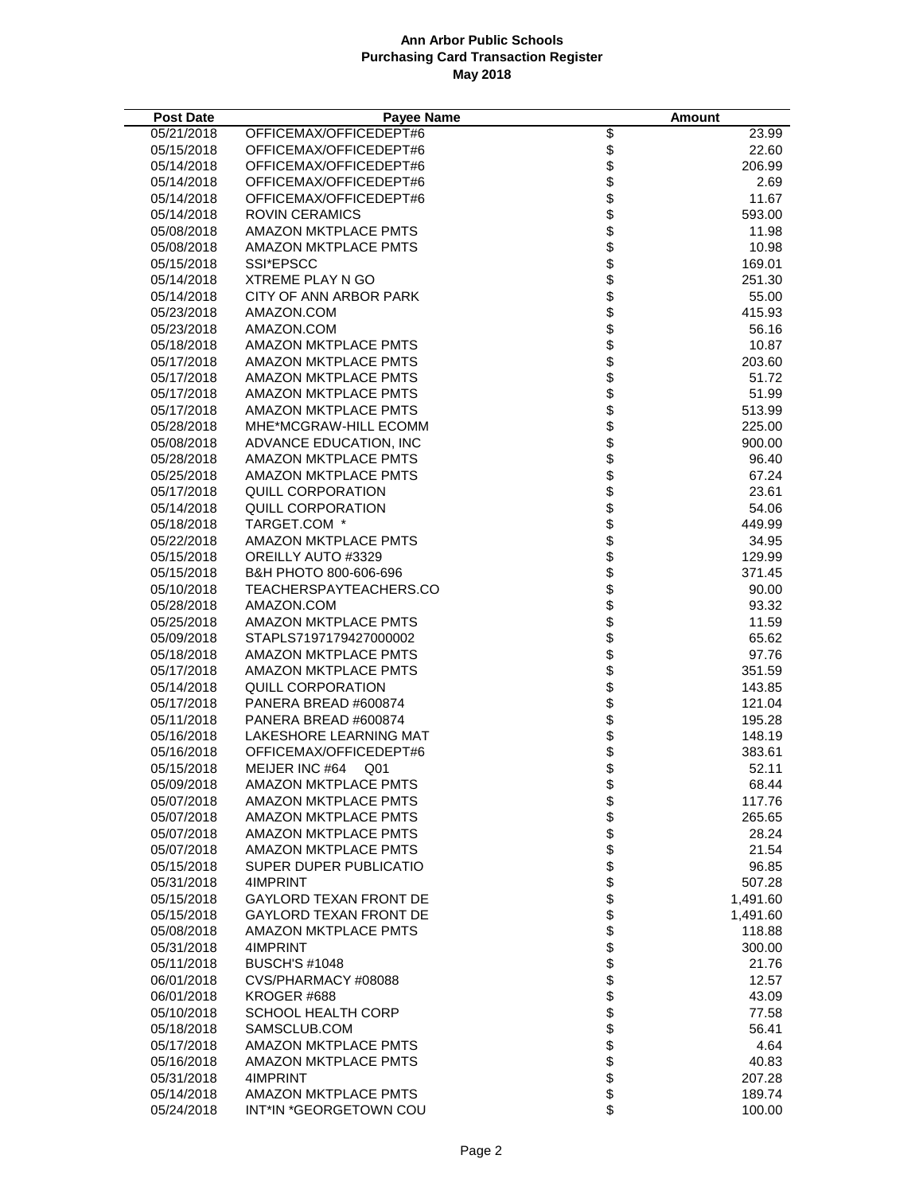| <b>Post Date</b> | Payee Name                    | Amount      |
|------------------|-------------------------------|-------------|
| 05/21/2018       | OFFICEMAX/OFFICEDEPT#6        | 23.99       |
| 05/15/2018       | OFFICEMAX/OFFICEDEPT#6        | 22.60       |
| 05/14/2018       | OFFICEMAX/OFFICEDEPT#6        | 206.99      |
| 05/14/2018       | OFFICEMAX/OFFICEDEPT#6        | 2.69        |
| 05/14/2018       | OFFICEMAX/OFFICEDEPT#6        | 11.67       |
| 05/14/2018       | <b>ROVIN CERAMICS</b>         | 593.00      |
| 05/08/2018       | AMAZON MKTPLACE PMTS          | 11.98       |
| 05/08/2018       | AMAZON MKTPLACE PMTS          | 10.98       |
| 05/15/2018       | SSI*EPSCC                     | 169.01      |
| 05/14/2018       | <b>XTREME PLAY N GO</b>       | 251.30      |
| 05/14/2018       | CITY OF ANN ARBOR PARK        | 55.00       |
| 05/23/2018       | AMAZON.COM                    | 415.93      |
| 05/23/2018       | AMAZON.COM                    | 56.16       |
| 05/18/2018       | AMAZON MKTPLACE PMTS          | 10.87       |
| 05/17/2018       | AMAZON MKTPLACE PMTS          | 203.60      |
| 05/17/2018       | <b>AMAZON MKTPLACE PMTS</b>   | 51.72       |
| 05/17/2018       | AMAZON MKTPLACE PMTS          | 51.99       |
| 05/17/2018       | AMAZON MKTPLACE PMTS          | 513.99      |
| 05/28/2018       | MHE*MCGRAW-HILL ECOMM         | 225.00      |
| 05/08/2018       | ADVANCE EDUCATION, INC        | 900.00      |
| 05/28/2018       | <b>AMAZON MKTPLACE PMTS</b>   | 96.40       |
| 05/25/2018       | <b>AMAZON MKTPLACE PMTS</b>   | 67.24       |
| 05/17/2018       | QUILL CORPORATION             | 23.61       |
| 05/14/2018       | <b>QUILL CORPORATION</b>      | 54.06       |
| 05/18/2018       | TARGET.COM *                  | 449.99      |
| 05/22/2018       | <b>AMAZON MKTPLACE PMTS</b>   | 34.95       |
| 05/15/2018       | OREILLY AUTO #3329            | 129.99      |
| 05/15/2018       | B&H PHOTO 800-606-696         | 371.45      |
| 05/10/2018       | TEACHERSPAYTEACHERS.CO        | 90.00       |
| 05/28/2018       | AMAZON.COM                    | 93.32       |
| 05/25/2018       | AMAZON MKTPLACE PMTS          | 11.59       |
| 05/09/2018       | STAPLS7197179427000002        | 65.62       |
| 05/18/2018       | AMAZON MKTPLACE PMTS          | 97.76       |
| 05/17/2018       | <b>AMAZON MKTPLACE PMTS</b>   | 351.59      |
| 05/14/2018       | <b>QUILL CORPORATION</b>      | 143.85      |
| 05/17/2018       | PANERA BREAD #600874          | 121.04      |
| 05/11/2018       | PANERA BREAD #600874          | 195.28      |
| 05/16/2018       | LAKESHORE LEARNING MAT        | 148.19      |
| 05/16/2018       | OFFICEMAX/OFFICEDEPT#6        | 383.61      |
| 05/15/2018       | MEIJER INC #64 Q01            | 52.11       |
| 05/09/2018       | AMAZON MKTPLACE PMTS          | \$<br>68.44 |
| 05/07/2018       | <b>AMAZON MKTPLACE PMTS</b>   | 117.76      |
| 05/07/2018       | <b>AMAZON MKTPLACE PMTS</b>   | 265.65      |
| 05/07/2018       | AMAZON MKTPLACE PMTS          | 28.24       |
| 05/07/2018       | <b>AMAZON MKTPLACE PMTS</b>   | 21.54       |
| 05/15/2018       | SUPER DUPER PUBLICATIO        | 96.85       |
| 05/31/2018       | 4IMPRINT                      | 507.28      |
| 05/15/2018       | <b>GAYLORD TEXAN FRONT DE</b> | 1,491.60    |
| 05/15/2018       | <b>GAYLORD TEXAN FRONT DE</b> | 1,491.60    |
| 05/08/2018       | AMAZON MKTPLACE PMTS          | 118.88      |
| 05/31/2018       | 4IMPRINT                      | 300.00      |
| 05/11/2018       | <b>BUSCH'S #1048</b>          | 21.76       |
| 06/01/2018       | CVS/PHARMACY #08088           | 12.57       |
| 06/01/2018       | KROGER #688                   | 43.09       |
| 05/10/2018       | SCHOOL HEALTH CORP            | 77.58       |
| 05/18/2018       | SAMSCLUB.COM                  | 56.41       |
| 05/17/2018       | AMAZON MKTPLACE PMTS          | 4.64        |
| 05/16/2018       | <b>AMAZON MKTPLACE PMTS</b>   | 40.83       |
| 05/31/2018       | 4IMPRINT                      | 207.28      |
| 05/14/2018       | AMAZON MKTPLACE PMTS          | 189.74      |
| 05/24/2018       | INT*IN *GEORGETOWN COU        | 100.00      |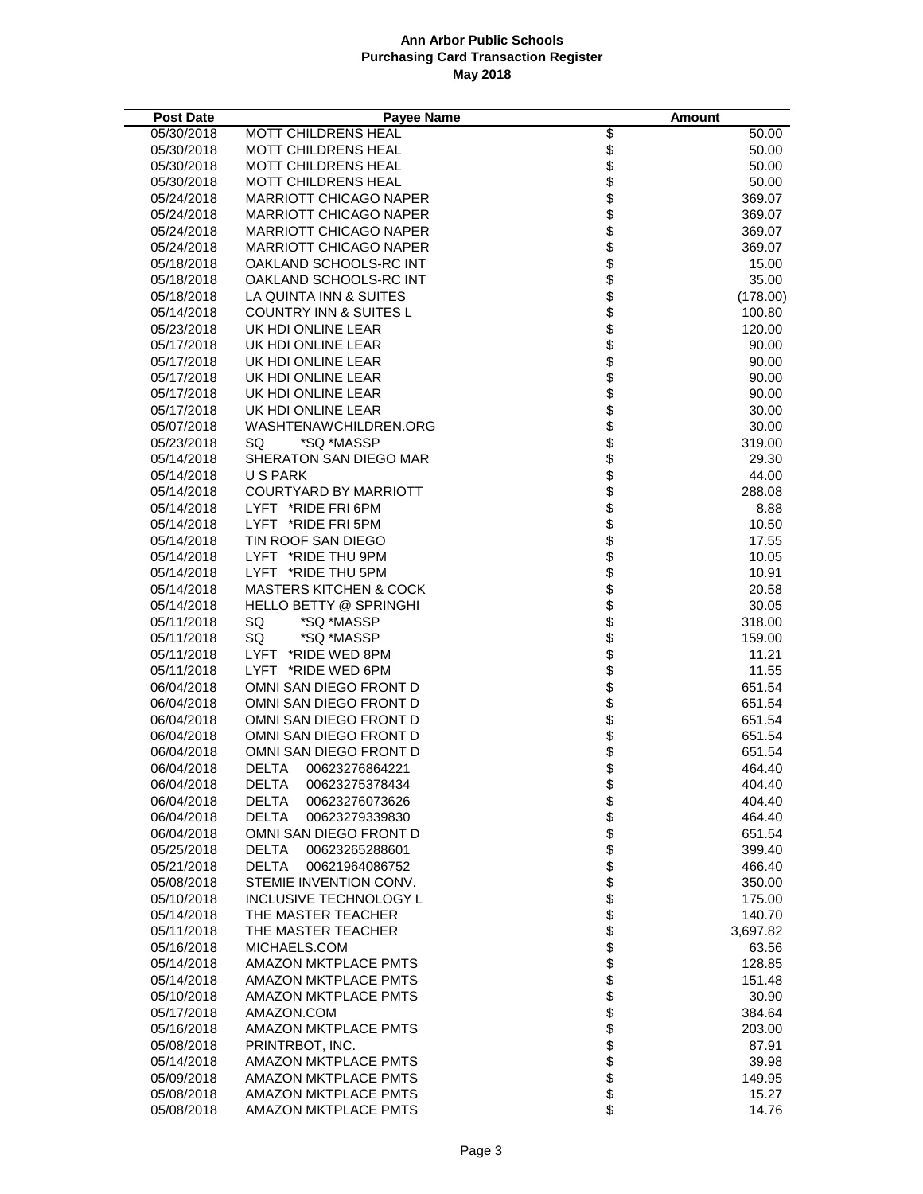| <b>Post Date</b>         | Payee Name                                              |                      | Amount          |
|--------------------------|---------------------------------------------------------|----------------------|-----------------|
| 05/30/2018               | MOTT CHILDRENS HEAL                                     |                      | 50.00           |
| 05/30/2018               | <b>MOTT CHILDRENS HEAL</b>                              |                      | 50.00           |
| 05/30/2018               | <b>MOTT CHILDRENS HEAL</b>                              |                      | 50.00           |
| 05/30/2018               | MOTT CHILDRENS HEAL                                     |                      | 50.00           |
| 05/24/2018               | <b>MARRIOTT CHICAGO NAPER</b>                           |                      | 369.07          |
| 05/24/2018               | <b>MARRIOTT CHICAGO NAPER</b>                           |                      | 369.07          |
| 05/24/2018               | <b>MARRIOTT CHICAGO NAPER</b>                           |                      | 369.07          |
| 05/24/2018               | <b>MARRIOTT CHICAGO NAPER</b>                           |                      | 369.07          |
| 05/18/2018               | OAKLAND SCHOOLS-RC INT                                  | <b>888888888</b>     | 15.00           |
| 05/18/2018               | OAKLAND SCHOOLS-RC INT                                  |                      | 35.00           |
| 05/18/2018               | LA QUINTA INN & SUITES                                  | \$\$\$\$\$           | (178.00)        |
| 05/14/2018               | <b>COUNTRY INN &amp; SUITES L</b>                       |                      | 100.80          |
| 05/23/2018               | UK HDI ONLINE LEAR                                      |                      | 120.00          |
| 05/17/2018               | UK HDI ONLINE LEAR                                      |                      | 90.00           |
| 05/17/2018               | UK HDI ONLINE LEAR                                      |                      | 90.00           |
| 05/17/2018               | UK HDI ONLINE LEAR                                      |                      | 90.00           |
| 05/17/2018               | UK HDI ONLINE LEAR                                      |                      | 90.00           |
| 05/17/2018               | UK HDI ONLINE LEAR                                      |                      | 30.00           |
| 05/07/2018               | WASHTENAWCHILDREN.ORG                                   | \$\$\$\$\$           | 30.00           |
| 05/23/2018               | *SQ *MASSP<br>SQ.                                       |                      | 319.00          |
| 05/14/2018               | SHERATON SAN DIEGO MAR                                  |                      | 29.30           |
| 05/14/2018               | U S PARK                                                |                      | 44.00           |
| 05/14/2018               | <b>COURTYARD BY MARRIOTT</b>                            |                      | 288.08          |
| 05/14/2018               | LYFT *RIDE FRI 6PM                                      | \$\$\$\$\$           | 8.88            |
| 05/14/2018               | LYFT *RIDE FRI 5PM                                      |                      | 10.50           |
| 05/14/2018               | TIN ROOF SAN DIEGO                                      |                      | 17.55           |
| 05/14/2018               | LYFT *RIDE THU 9PM                                      |                      | 10.05           |
| 05/14/2018<br>05/14/2018 | LYFT *RIDE THU 5PM<br><b>MASTERS KITCHEN &amp; COCK</b> | \$\$\$\$\$           | 10.91<br>20.58  |
| 05/14/2018               | <b>HELLO BETTY @ SPRINGHI</b>                           |                      | 30.05           |
| 05/11/2018               | *SQ *MASSP<br>SQ                                        |                      | 318.00          |
| 05/11/2018               | SQ<br>*SQ *MASSP                                        | \$\$\$\$\$           | 159.00          |
| 05/11/2018               | LYFT *RIDE WED 8PM                                      |                      | 11.21           |
| 05/11/2018               | LYFT *RIDE WED 6PM                                      |                      | 11.55           |
| 06/04/2018               | OMNI SAN DIEGO FRONT D                                  |                      | 651.54          |
| 06/04/2018               | OMNI SAN DIEGO FRONT D                                  |                      | 651.54          |
| 06/04/2018               | OMNI SAN DIEGO FRONT D                                  | \$\$\$\$\$           | 651.54          |
| 06/04/2018               | OMNI SAN DIEGO FRONT D                                  |                      | 651.54          |
| 06/04/2018               | OMNI SAN DIEGO FRONT D                                  |                      | 651.54          |
| 06/04/2018               | <b>DELTA</b><br>00623276864221                          |                      | 464.40          |
| 06/04/2018               | DELTA 00623275378434                                    | \$                   | 404.40          |
| 06/04/2018               | <b>DELTA</b><br>00623276073626                          |                      | 404.40          |
| 06/04/2018               | <b>DELTA</b><br>00623279339830                          | \$\$\$               | 464.40          |
| 06/04/2018               | OMNI SAN DIEGO FRONT D                                  |                      | 651.54          |
| 05/25/2018               | DELTA<br>00623265288601                                 |                      | 399.40          |
| 05/21/2018               | <b>DELTA</b><br>00621964086752                          | \$\$\$\$\$           | 466.40          |
| 05/08/2018               | STEMIE INVENTION CONV.                                  |                      | 350.00          |
| 05/10/2018               | <b>INCLUSIVE TECHNOLOGY L</b>                           |                      | 175.00          |
| 05/14/2018               | THE MASTER TEACHER                                      |                      | 140.70          |
| 05/11/2018               | THE MASTER TEACHER                                      |                      | 3,697.82        |
| 05/16/2018               | MICHAELS.COM                                            |                      | 63.56           |
| 05/14/2018               | <b>AMAZON MKTPLACE PMTS</b>                             | \$\$\$\$\$\$\$\$\$\$ | 128.85          |
| 05/14/2018               | <b>AMAZON MKTPLACE PMTS</b>                             |                      | 151.48          |
| 05/10/2018               | <b>AMAZON MKTPLACE PMTS</b>                             |                      | 30.90           |
| 05/17/2018               | AMAZON.COM                                              |                      | 384.64          |
| 05/16/2018<br>05/08/2018 | AMAZON MKTPLACE PMTS                                    |                      | 203.00<br>87.91 |
| 05/14/2018               | PRINTRBOT, INC.<br>AMAZON MKTPLACE PMTS                 |                      | 39.98           |
| 05/09/2018               | AMAZON MKTPLACE PMTS                                    |                      | 149.95          |
| 05/08/2018               | AMAZON MKTPLACE PMTS                                    |                      | 15.27           |
| 05/08/2018               | <b>AMAZON MKTPLACE PMTS</b>                             | \$<br>\$             | 14.76           |
|                          |                                                         |                      |                 |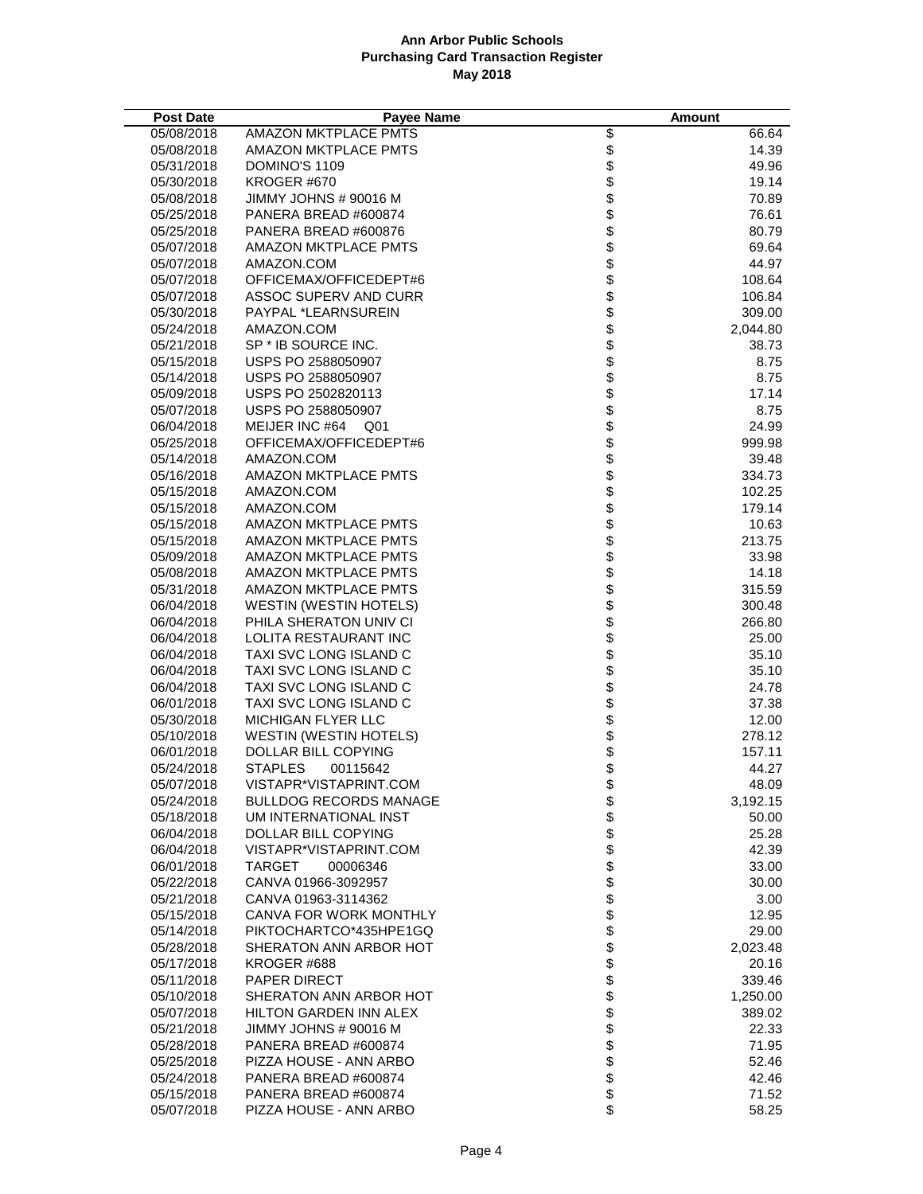| <b>Post Date</b> | <b>Payee Name</b>             |                                                | <b>Amount</b> |
|------------------|-------------------------------|------------------------------------------------|---------------|
| 05/08/2018       | <b>AMAZON MKTPLACE PMTS</b>   |                                                | 66.64         |
| 05/08/2018       | <b>AMAZON MKTPLACE PMTS</b>   |                                                | 14.39         |
| 05/31/2018       | DOMINO'S 1109                 |                                                | 49.96         |
| 05/30/2018       | KROGER #670                   |                                                | 19.14         |
| 05/08/2018       | JIMMY JOHNS # 90016 M         |                                                | 70.89         |
| 05/25/2018       | PANERA BREAD #600874          |                                                | 76.61         |
| 05/25/2018       | PANERA BREAD #600876          |                                                | 80.79         |
| 05/07/2018       | AMAZON MKTPLACE PMTS          |                                                | 69.64         |
| 05/07/2018       | AMAZON.COM                    |                                                | 44.97         |
| 05/07/2018       | OFFICEMAX/OFFICEDEPT#6        |                                                | 108.64        |
| 05/07/2018       | ASSOC SUPERV AND CURR         |                                                | 106.84        |
| 05/30/2018       | <b>PAYPAL *LEARNSUREIN</b>    |                                                | 309.00        |
| 05/24/2018       | AMAZON.COM                    |                                                | 2,044.80      |
| 05/21/2018       | SP * IB SOURCE INC.           |                                                | 38.73         |
| 05/15/2018       | USPS PO 2588050907            |                                                | 8.75          |
| 05/14/2018       | USPS PO 2588050907            |                                                | 8.75          |
| 05/09/2018       | USPS PO 2502820113            |                                                | 17.14         |
| 05/07/2018       | USPS PO 2588050907            |                                                | 8.75          |
| 06/04/2018       | MEIJER INC #64 Q01            |                                                | 24.99         |
| 05/25/2018       | OFFICEMAX/OFFICEDEPT#6        |                                                | 999.98        |
| 05/14/2018       | AMAZON.COM                    |                                                | 39.48         |
| 05/16/2018       | <b>AMAZON MKTPLACE PMTS</b>   |                                                | 334.73        |
| 05/15/2018       | AMAZON.COM                    |                                                | 102.25        |
| 05/15/2018       | AMAZON.COM                    |                                                | 179.14        |
| 05/15/2018       | <b>AMAZON MKTPLACE PMTS</b>   |                                                | 10.63         |
| 05/15/2018       | AMAZON MKTPLACE PMTS          |                                                | 213.75        |
| 05/09/2018       | AMAZON MKTPLACE PMTS          |                                                | 33.98         |
| 05/08/2018       | AMAZON MKTPLACE PMTS          |                                                | 14.18         |
| 05/31/2018       | AMAZON MKTPLACE PMTS          |                                                | 315.59        |
| 06/04/2018       | <b>WESTIN (WESTIN HOTELS)</b> |                                                | 300.48        |
| 06/04/2018       | PHILA SHERATON UNIV CI        |                                                | 266.80        |
| 06/04/2018       | LOLITA RESTAURANT INC         |                                                | 25.00         |
| 06/04/2018       | TAXI SVC LONG ISLAND C        |                                                | 35.10         |
| 06/04/2018       | TAXI SVC LONG ISLAND C        |                                                | 35.10         |
| 06/04/2018       | TAXI SVC LONG ISLAND C        |                                                | 24.78         |
| 06/01/2018       | TAXI SVC LONG ISLAND C        |                                                | 37.38         |
| 05/30/2018       | MICHIGAN FLYER LLC            |                                                | 12.00         |
| 05/10/2018       | <b>WESTIN (WESTIN HOTELS)</b> |                                                | 278.12        |
| 06/01/2018       | DOLLAR BILL COPYING           |                                                | 157.11        |
| 05/24/2018       | <b>STAPLES</b><br>00115642    |                                                | 44.27         |
| 05/07/2018       | VISTAPR*VISTAPRINT.COM        | \$                                             | 48.09         |
| 05/24/2018       | <b>BULLDOG RECORDS MANAGE</b> |                                                | 3,192.15      |
| 05/18/2018       | UM INTERNATIONAL INST         |                                                | 50.00         |
| 06/04/2018       | DOLLAR BILL COPYING           |                                                | 25.28         |
| 06/04/2018       | VISTAPR*VISTAPRINT.COM        |                                                | 42.39         |
| 06/01/2018       | TARGET<br>00006346            |                                                | 33.00         |
| 05/22/2018       | CANVA 01966-3092957           |                                                | 30.00         |
| 05/21/2018       | CANVA 01963-3114362           |                                                | 3.00          |
| 05/15/2018       | CANVA FOR WORK MONTHLY        |                                                | 12.95         |
| 05/14/2018       | PIKTOCHARTCO*435HPE1GQ        |                                                | 29.00         |
| 05/28/2018       | SHERATON ANN ARBOR HOT        |                                                | 2,023.48      |
| 05/17/2018       | KROGER #688                   |                                                | 20.16         |
| 05/11/2018       | <b>PAPER DIRECT</b>           | ୫୫୫ ୫୫ ୫୫ ୫୫ ୫୫ <del>୫୫ ୫୫ ୫୫ ୫୫ ୫୫ ୫୫ ୫</del> | 339.46        |
| 05/10/2018       | SHERATON ANN ARBOR HOT        |                                                | 1,250.00      |
| 05/07/2018       | <b>HILTON GARDEN INN ALEX</b> |                                                | 389.02        |
| 05/21/2018       | JIMMY JOHNS # 90016 M         |                                                | 22.33         |
| 05/28/2018       | PANERA BREAD #600874          |                                                | 71.95         |
| 05/25/2018       | PIZZA HOUSE - ANN ARBO        |                                                | 52.46         |
| 05/24/2018       | PANERA BREAD #600874          |                                                | 42.46         |
| 05/15/2018       | PANERA BREAD #600874          |                                                | 71.52         |
| 05/07/2018       | PIZZA HOUSE - ANN ARBO        |                                                | 58.25         |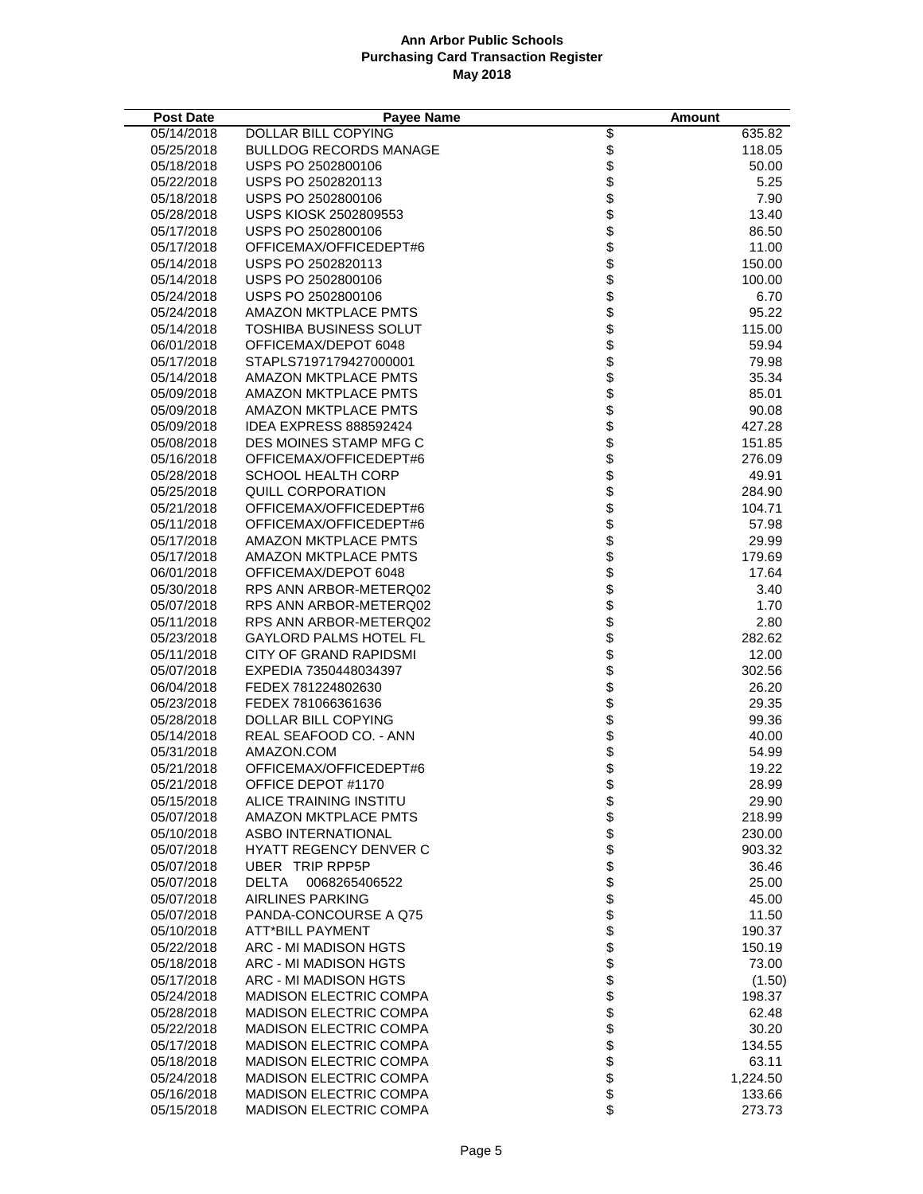| <b>Post Date</b> | <b>Payee Name</b>             |                          | Amount   |
|------------------|-------------------------------|--------------------------|----------|
| 05/14/2018       | DOLLAR BILL COPYING           |                          | 635.82   |
| 05/25/2018       | <b>BULLDOG RECORDS MANAGE</b> |                          | 118.05   |
| 05/18/2018       | USPS PO 2502800106            |                          | 50.00    |
| 05/22/2018       | USPS PO 2502820113            |                          | 5.25     |
| 05/18/2018       | USPS PO 2502800106            |                          | 7.90     |
| 05/28/2018       | USPS KIOSK 2502809553         |                          | 13.40    |
| 05/17/2018       | USPS PO 2502800106            |                          | 86.50    |
| 05/17/2018       | OFFICEMAX/OFFICEDEPT#6        |                          | 11.00    |
| 05/14/2018       | USPS PO 2502820113            |                          | 150.00   |
| 05/14/2018       | USPS PO 2502800106            |                          | 100.00   |
| 05/24/2018       | USPS PO 2502800106            |                          | 6.70     |
| 05/24/2018       | <b>AMAZON MKTPLACE PMTS</b>   |                          | 95.22    |
| 05/14/2018       | TOSHIBA BUSINESS SOLUT        |                          | 115.00   |
| 06/01/2018       | OFFICEMAX/DEPOT 6048          |                          | 59.94    |
| 05/17/2018       | STAPLS7197179427000001        |                          | 79.98    |
| 05/14/2018       | <b>AMAZON MKTPLACE PMTS</b>   |                          | 35.34    |
| 05/09/2018       | AMAZON MKTPLACE PMTS          |                          | 85.01    |
| 05/09/2018       | <b>AMAZON MKTPLACE PMTS</b>   |                          | 90.08    |
| 05/09/2018       | <b>IDEA EXPRESS 888592424</b> |                          | 427.28   |
| 05/08/2018       | DES MOINES STAMP MFG C        |                          | 151.85   |
| 05/16/2018       | OFFICEMAX/OFFICEDEPT#6        |                          | 276.09   |
| 05/28/2018       | SCHOOL HEALTH CORP            |                          | 49.91    |
| 05/25/2018       | QUILL CORPORATION             |                          | 284.90   |
| 05/21/2018       | OFFICEMAX/OFFICEDEPT#6        |                          | 104.71   |
| 05/11/2018       | OFFICEMAX/OFFICEDEPT#6        |                          | 57.98    |
| 05/17/2018       | <b>AMAZON MKTPLACE PMTS</b>   |                          | 29.99    |
| 05/17/2018       | AMAZON MKTPLACE PMTS          |                          | 179.69   |
| 06/01/2018       | OFFICEMAX/DEPOT 6048          |                          | 17.64    |
| 05/30/2018       | RPS ANN ARBOR-METERQ02        |                          | 3.40     |
| 05/07/2018       | RPS ANN ARBOR-METERQ02        |                          | 1.70     |
| 05/11/2018       | RPS ANN ARBOR-METERQ02        |                          | 2.80     |
| 05/23/2018       | <b>GAYLORD PALMS HOTEL FL</b> |                          | 282.62   |
| 05/11/2018       | <b>CITY OF GRAND RAPIDSMI</b> |                          | 12.00    |
| 05/07/2018       | EXPEDIA 7350448034397         |                          | 302.56   |
| 06/04/2018       | FEDEX 781224802630            |                          | 26.20    |
| 05/23/2018       | FEDEX 781066361636            |                          | 29.35    |
| 05/28/2018       | DOLLAR BILL COPYING           |                          | 99.36    |
| 05/14/2018       | REAL SEAFOOD CO. - ANN        |                          | 40.00    |
| 05/31/2018       | AMAZON.COM                    |                          | 54.99    |
| 05/21/2018       | OFFICEMAX/OFFICEDEPT#6        |                          | 19.22    |
| 05/21/2018       | OFFICE DEPOT #1170            | \$                       | 28.99    |
| 05/15/2018       | ALICE TRAINING INSTITU        |                          | 29.90    |
| 05/07/2018       | AMAZON MKTPLACE PMTS          |                          | 218.99   |
| 05/10/2018       | ASBO INTERNATIONAL            |                          | 230.00   |
| 05/07/2018       | <b>HYATT REGENCY DENVER C</b> |                          | 903.32   |
| 05/07/2018       | UBER TRIP RPP5P               |                          | 36.46    |
| 05/07/2018       | <b>DELTA</b><br>0068265406522 |                          | 25.00    |
| 05/07/2018       | <b>AIRLINES PARKING</b>       |                          | 45.00    |
| 05/07/2018       | PANDA-CONCOURSE A Q75         |                          | 11.50    |
| 05/10/2018       | <b>ATT*BILL PAYMENT</b>       |                          | 190.37   |
| 05/22/2018       | ARC - MI MADISON HGTS         | \$\$\$\$\$\$\$\$\$\$\$\$ | 150.19   |
| 05/18/2018       | ARC - MI MADISON HGTS         |                          | 73.00    |
| 05/17/2018       | ARC - MI MADISON HGTS         | <b>88888888</b>          | (1.50)   |
| 05/24/2018       | <b>MADISON ELECTRIC COMPA</b> |                          | 198.37   |
| 05/28/2018       | <b>MADISON ELECTRIC COMPA</b> |                          | 62.48    |
| 05/22/2018       | <b>MADISON ELECTRIC COMPA</b> |                          | 30.20    |
| 05/17/2018       | <b>MADISON ELECTRIC COMPA</b> |                          | 134.55   |
| 05/18/2018       | <b>MADISON ELECTRIC COMPA</b> |                          | 63.11    |
| 05/24/2018       | <b>MADISON ELECTRIC COMPA</b> |                          | 1,224.50 |
| 05/16/2018       | <b>MADISON ELECTRIC COMPA</b> |                          | 133.66   |
| 05/15/2018       | MADISON ELECTRIC COMPA        | \$                       | 273.73   |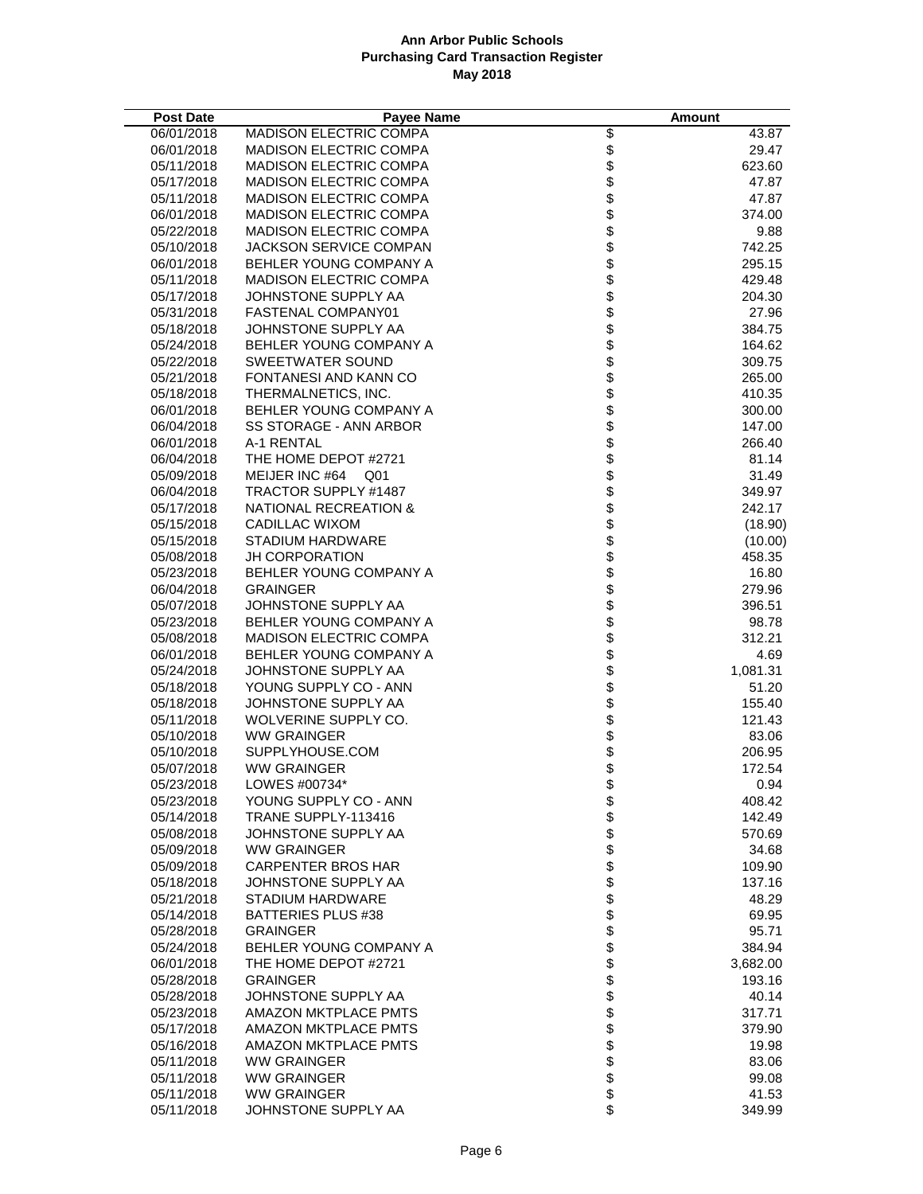| <b>Post Date</b>         | <b>Payee Name</b>                           |                                                | Amount           |
|--------------------------|---------------------------------------------|------------------------------------------------|------------------|
| 06/01/2018               | <b>MADISON ELECTRIC COMPA</b>               |                                                | 43.87            |
| 06/01/2018               | <b>MADISON ELECTRIC COMPA</b>               |                                                | 29.47            |
| 05/11/2018               | <b>MADISON ELECTRIC COMPA</b>               |                                                | 623.60           |
| 05/17/2018               | <b>MADISON ELECTRIC COMPA</b>               |                                                | 47.87            |
| 05/11/2018               | <b>MADISON ELECTRIC COMPA</b>               |                                                | 47.87            |
| 06/01/2018               | <b>MADISON ELECTRIC COMPA</b>               |                                                | 374.00           |
| 05/22/2018               | <b>MADISON ELECTRIC COMPA</b>               |                                                | 9.88             |
| 05/10/2018               | JACKSON SERVICE COMPAN                      |                                                | 742.25           |
| 06/01/2018               | BEHLER YOUNG COMPANY A                      |                                                | 295.15           |
| 05/11/2018               | <b>MADISON ELECTRIC COMPA</b>               |                                                | 429.48           |
| 05/17/2018               | JOHNSTONE SUPPLY AA                         |                                                | 204.30           |
| 05/31/2018               | FASTENAL COMPANY01                          |                                                | 27.96            |
| 05/18/2018               | JOHNSTONE SUPPLY AA                         |                                                | 384.75           |
| 05/24/2018               | BEHLER YOUNG COMPANY A                      |                                                | 164.62           |
| 05/22/2018               | SWEETWATER SOUND                            |                                                | 309.75           |
| 05/21/2018               | FONTANESI AND KANN CO                       |                                                | 265.00           |
| 05/18/2018               | THERMALNETICS, INC.                         |                                                | 410.35           |
| 06/01/2018               | BEHLER YOUNG COMPANY A                      |                                                | 300.00           |
| 06/04/2018               | <b>SS STORAGE - ANN ARBOR</b>               |                                                | 147.00           |
| 06/01/2018               | A-1 RENTAL                                  |                                                | 266.40           |
| 06/04/2018               | THE HOME DEPOT #2721                        |                                                | 81.14            |
| 05/09/2018               | MEIJER INC #64 Q01                          |                                                | 31.49            |
| 06/04/2018               | TRACTOR SUPPLY #1487                        |                                                | 349.97           |
| 05/17/2018               | NATIONAL RECREATION &                       |                                                | 242.17           |
| 05/15/2018               | CADILLAC WIXOM                              |                                                | (18.90)          |
| 05/15/2018               | STADIUM HARDWARE                            |                                                | (10.00)          |
| 05/08/2018               | <b>JH CORPORATION</b>                       |                                                | 458.35           |
| 05/23/2018               | BEHLER YOUNG COMPANY A                      |                                                | 16.80            |
| 06/04/2018               | <b>GRAINGER</b>                             |                                                | 279.96           |
| 05/07/2018               | JOHNSTONE SUPPLY AA                         |                                                | 396.51           |
| 05/23/2018               | BEHLER YOUNG COMPANY A                      |                                                | 98.78            |
| 05/08/2018               | <b>MADISON ELECTRIC COMPA</b>               |                                                | 312.21           |
| 06/01/2018               | BEHLER YOUNG COMPANY A                      |                                                | 4.69             |
| 05/24/2018               | JOHNSTONE SUPPLY AA                         |                                                | 1,081.31         |
| 05/18/2018               | YOUNG SUPPLY CO - ANN                       |                                                | 51.20            |
| 05/18/2018               | JOHNSTONE SUPPLY AA<br>WOLVERINE SUPPLY CO. |                                                | 155.40<br>121.43 |
| 05/11/2018               |                                             |                                                |                  |
| 05/10/2018<br>05/10/2018 | <b>WW GRAINGER</b><br>SUPPLYHOUSE.COM       |                                                | 83.06<br>206.95  |
| 05/07/2018               | <b>WW GRAINGER</b>                          |                                                | 172.54           |
| 05/23/2018               | LOWES #00734*                               | \$                                             | 0.94             |
| 05/23/2018               | YOUNG SUPPLY CO - ANN                       |                                                | 408.42           |
| 05/14/2018               | TRANE SUPPLY-113416                         |                                                | 142.49           |
| 05/08/2018               | JOHNSTONE SUPPLY AA                         |                                                | 570.69           |
| 05/09/2018               | <b>WW GRAINGER</b>                          |                                                | 34.68            |
| 05/09/2018               | <b>CARPENTER BROS HAR</b>                   |                                                | 109.90           |
| 05/18/2018               | JOHNSTONE SUPPLY AA                         |                                                | 137.16           |
| 05/21/2018               | <b>STADIUM HARDWARE</b>                     |                                                | 48.29            |
| 05/14/2018               | BATTERIES PLUS #38                          |                                                | 69.95            |
| 05/28/2018               | <b>GRAINGER</b>                             |                                                | 95.71            |
| 05/24/2018               | BEHLER YOUNG COMPANY A                      |                                                | 384.94           |
| 06/01/2018               | THE HOME DEPOT #2721                        |                                                | 3,682.00         |
| 05/28/2018               | <b>GRAINGER</b>                             | ୫୫୫ ୫୫ ୫୫ ୫୫ ୫୫ <del>୫୫ ୫୫ ୫୫ ୫୫ ୫୫ ୫୫ ୫</del> | 193.16           |
| 05/28/2018               | JOHNSTONE SUPPLY AA                         |                                                | 40.14            |
| 05/23/2018               | <b>AMAZON MKTPLACE PMTS</b>                 |                                                | 317.71           |
| 05/17/2018               | AMAZON MKTPLACE PMTS                        |                                                | 379.90           |
| 05/16/2018               | AMAZON MKTPLACE PMTS                        |                                                | 19.98            |
| 05/11/2018               | <b>WW GRAINGER</b>                          |                                                | 83.06            |
| 05/11/2018               | <b>WW GRAINGER</b>                          |                                                | 99.08            |
| 05/11/2018               | <b>WW GRAINGER</b>                          |                                                | 41.53            |
| 05/11/2018               | JOHNSTONE SUPPLY AA                         |                                                | 349.99           |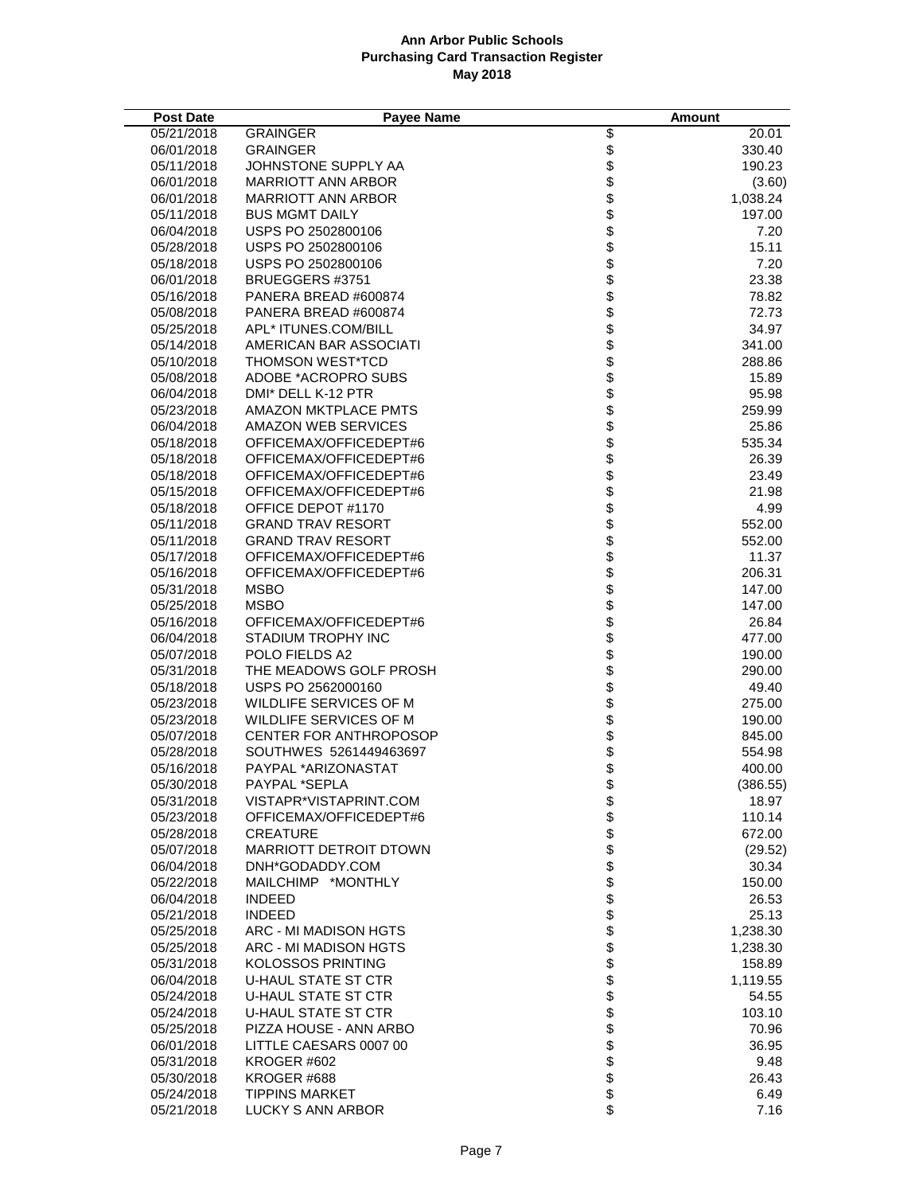| <b>Post Date</b> | <b>Payee Name</b>             |                      | Amount   |
|------------------|-------------------------------|----------------------|----------|
| 05/21/2018       | <b>GRAINGER</b>               |                      | 20.01    |
| 06/01/2018       | <b>GRAINGER</b>               |                      | 330.40   |
| 05/11/2018       | JOHNSTONE SUPPLY AA           |                      | 190.23   |
| 06/01/2018       | MARRIOTT ANN ARBOR            |                      | (3.60)   |
| 06/01/2018       | <b>MARRIOTT ANN ARBOR</b>     |                      | 1,038.24 |
| 05/11/2018       | <b>BUS MGMT DAILY</b>         |                      | 197.00   |
| 06/04/2018       | USPS PO 2502800106            |                      | 7.20     |
| 05/28/2018       | USPS PO 2502800106            |                      | 15.11    |
| 05/18/2018       | USPS PO 2502800106            |                      | 7.20     |
| 06/01/2018       | BRUEGGERS #3751               |                      | 23.38    |
| 05/16/2018       | PANERA BREAD #600874          |                      | 78.82    |
| 05/08/2018       | PANERA BREAD #600874          |                      | 72.73    |
| 05/25/2018       | APL* ITUNES.COM/BILL          |                      | 34.97    |
| 05/14/2018       | AMERICAN BAR ASSOCIATI        |                      | 341.00   |
| 05/10/2018       | THOMSON WEST*TCD              |                      | 288.86   |
| 05/08/2018       | ADOBE *ACROPRO SUBS           |                      | 15.89    |
| 06/04/2018       | DMI* DELL K-12 PTR            |                      | 95.98    |
| 05/23/2018       | <b>AMAZON MKTPLACE PMTS</b>   |                      | 259.99   |
| 06/04/2018       | AMAZON WEB SERVICES           |                      | 25.86    |
| 05/18/2018       | OFFICEMAX/OFFICEDEPT#6        |                      | 535.34   |
| 05/18/2018       | OFFICEMAX/OFFICEDEPT#6        |                      | 26.39    |
| 05/18/2018       | OFFICEMAX/OFFICEDEPT#6        |                      | 23.49    |
| 05/15/2018       | OFFICEMAX/OFFICEDEPT#6        |                      | 21.98    |
| 05/18/2018       | OFFICE DEPOT #1170            |                      | 4.99     |
| 05/11/2018       | <b>GRAND TRAV RESORT</b>      |                      | 552.00   |
| 05/11/2018       | <b>GRAND TRAV RESORT</b>      |                      | 552.00   |
| 05/17/2018       | OFFICEMAX/OFFICEDEPT#6        |                      | 11.37    |
| 05/16/2018       | OFFICEMAX/OFFICEDEPT#6        |                      | 206.31   |
| 05/31/2018       | <b>MSBO</b>                   |                      | 147.00   |
| 05/25/2018       | <b>MSBO</b>                   |                      | 147.00   |
| 05/16/2018       | OFFICEMAX/OFFICEDEPT#6        |                      | 26.84    |
| 06/04/2018       | STADIUM TROPHY INC            |                      | 477.00   |
| 05/07/2018       | POLO FIELDS A2                |                      | 190.00   |
| 05/31/2018       | THE MEADOWS GOLF PROSH        |                      | 290.00   |
| 05/18/2018       | USPS PO 2562000160            |                      | 49.40    |
| 05/23/2018       | WILDLIFE SERVICES OF M        |                      | 275.00   |
| 05/23/2018       | WILDLIFE SERVICES OF M        |                      | 190.00   |
| 05/07/2018       | <b>CENTER FOR ANTHROPOSOP</b> |                      | 845.00   |
| 05/28/2018       | SOUTHWES 5261449463697        |                      | 554.98   |
| 05/16/2018       | PAYPAL *ARIZONASTAT           |                      | 400.00   |
| 05/30/2018       | PAYPAL *SEPLA                 | \$                   | (386.55) |
| 05/31/2018       | VISTAPR*VISTAPRINT.COM        |                      | 18.97    |
| 05/23/2018       | OFFICEMAX/OFFICEDEPT#6        | \$\$\$\$\$\$\$\$\$\$ | 110.14   |
| 05/28/2018       | <b>CREATURE</b>               |                      | 672.00   |
| 05/07/2018       | MARRIOTT DETROIT DTOWN        |                      | (29.52)  |
| 06/04/2018       | DNH*GODADDY.COM               |                      | 30.34    |
| 05/22/2018       | MAILCHIMP *MONTHLY            |                      | 150.00   |
| 06/04/2018       | <b>INDEED</b>                 |                      | 26.53    |
| 05/21/2018       | <b>INDEED</b>                 |                      | 25.13    |
| 05/25/2018       | ARC - MI MADISON HGTS         |                      | 1,238.30 |
| 05/25/2018       | ARC - MI MADISON HGTS         | \$                   | 1,238.30 |
| 05/31/2018       | <b>KOLOSSOS PRINTING</b>      | \$                   | 158.89   |
| 06/04/2018       | <b>U-HAUL STATE ST CTR</b>    |                      | 1,119.55 |
| 05/24/2018       | U-HAUL STATE ST CTR           |                      | 54.55    |
| 05/24/2018       | <b>U-HAUL STATE ST CTR</b>    |                      | 103.10   |
| 05/25/2018       | PIZZA HOUSE - ANN ARBO        |                      | 70.96    |
| 06/01/2018       | LITTLE CAESARS 0007 00        |                      | 36.95    |
| 05/31/2018       | KROGER #602                   |                      | 9.48     |
| 05/30/2018       | KROGER #688                   |                      | 26.43    |
| 05/24/2018       | <b>TIPPINS MARKET</b>         | <b>8888888</b>       | 6.49     |
| 05/21/2018       | LUCKY S ANN ARBOR             | \$                   | 7.16     |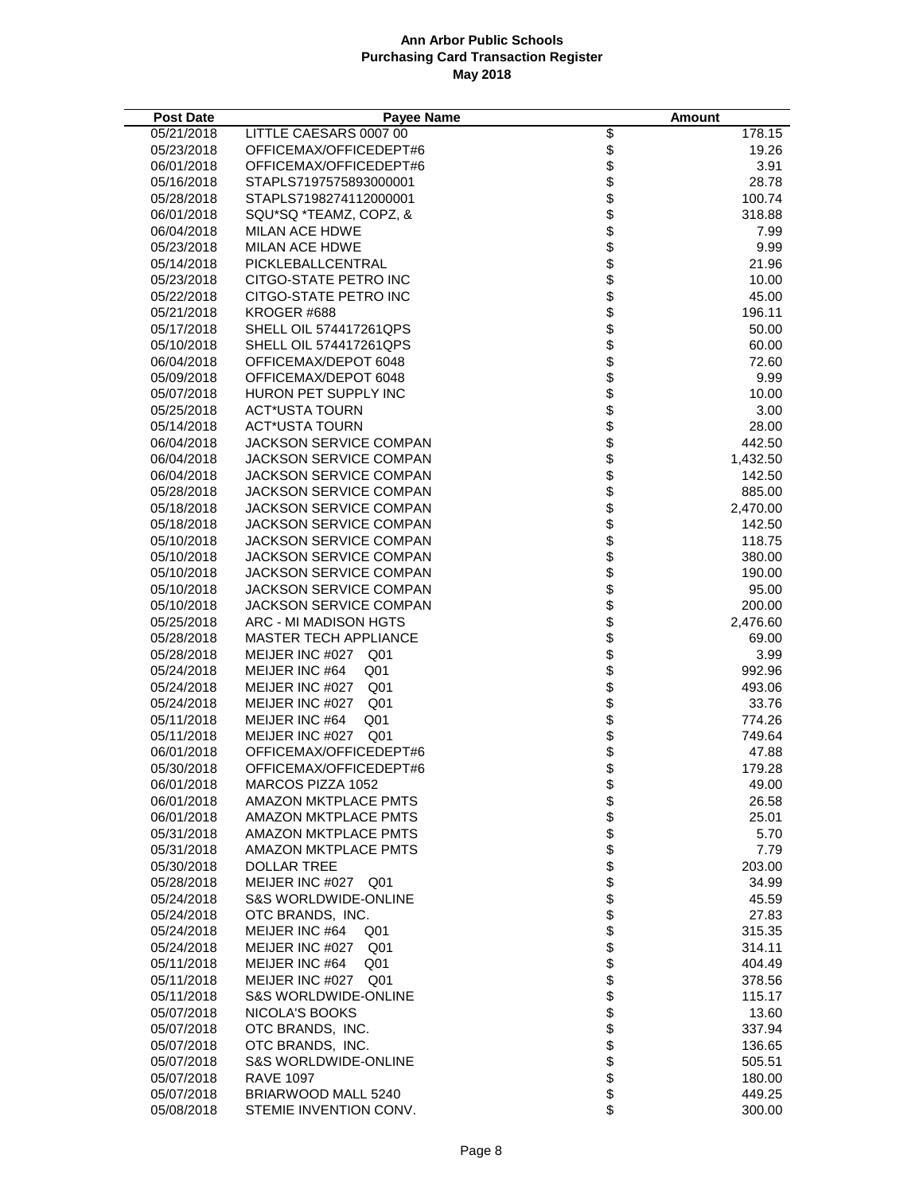| <b>Post Date</b>         | <b>Pavee Name</b>                               |                          | <b>Amount</b>      |
|--------------------------|-------------------------------------------------|--------------------------|--------------------|
| 05/21/2018               | LITTLE CAESARS 0007 00                          |                          | 178.15             |
| 05/23/2018               | OFFICEMAX/OFFICEDEPT#6                          |                          | 19.26              |
| 06/01/2018               | OFFICEMAX/OFFICEDEPT#6                          |                          | 3.91               |
| 05/16/2018               | STAPLS7197575893000001                          |                          | 28.78              |
| 05/28/2018               | STAPLS7198274112000001                          |                          | 100.74             |
| 06/01/2018               | SQU*SQ *TEAMZ, COPZ, &                          |                          | 318.88             |
| 06/04/2018               | <b>MILAN ACE HDWE</b>                           |                          | 7.99               |
| 05/23/2018               | <b>MILAN ACE HDWE</b>                           |                          | 9.99               |
| 05/14/2018               | PICKLEBALLCENTRAL                               |                          | 21.96              |
| 05/23/2018               | CITGO-STATE PETRO INC                           |                          | 10.00              |
| 05/22/2018               | CITGO-STATE PETRO INC                           |                          | 45.00              |
| 05/21/2018               | KROGER #688                                     |                          | 196.11             |
| 05/17/2018               | SHELL OIL 574417261QPS                          |                          | 50.00              |
| 05/10/2018               | SHELL OIL 574417261QPS                          |                          | 60.00              |
| 06/04/2018               | OFFICEMAX/DEPOT 6048                            |                          | 72.60              |
| 05/09/2018               | OFFICEMAX/DEPOT 6048                            |                          | 9.99               |
| 05/07/2018               | HURON PET SUPPLY INC                            |                          | 10.00              |
| 05/25/2018               | <b>ACT*USTA TOURN</b>                           |                          | 3.00               |
| 05/14/2018               | <b>ACT*USTA TOURN</b>                           |                          | 28.00              |
| 06/04/2018               | JACKSON SERVICE COMPAN                          |                          | 442.50             |
| 06/04/2018               | <b>JACKSON SERVICE COMPAN</b>                   |                          | 1,432.50           |
| 06/04/2018               | JACKSON SERVICE COMPAN                          |                          | 142.50             |
| 05/28/2018               | JACKSON SERVICE COMPAN                          |                          | 885.00             |
| 05/18/2018               | JACKSON SERVICE COMPAN                          |                          | 2,470.00           |
| 05/18/2018               | JACKSON SERVICE COMPAN                          |                          | 142.50             |
| 05/10/2018               | <b>JACKSON SERVICE COMPAN</b>                   |                          | 118.75             |
| 05/10/2018               | JACKSON SERVICE COMPAN                          |                          | 380.00             |
| 05/10/2018               | JACKSON SERVICE COMPAN                          |                          | 190.00             |
| 05/10/2018               | JACKSON SERVICE COMPAN                          |                          | 95.00              |
| 05/10/2018<br>05/25/2018 | JACKSON SERVICE COMPAN<br>ARC - MI MADISON HGTS |                          | 200.00<br>2,476.60 |
| 05/28/2018               | <b>MASTER TECH APPLIANCE</b>                    |                          | 69.00              |
| 05/28/2018               | MEIJER INC #027 Q01                             |                          | 3.99               |
| 05/24/2018               | MEIJER INC #64<br>Q01                           |                          | 992.96             |
| 05/24/2018               | MEIJER INC #027 Q01                             |                          | 493.06             |
| 05/24/2018               | Q <sub>01</sub><br>MEIJER INC #027              |                          | 33.76              |
| 05/11/2018               | MEIJER INC #64<br>Q <sub>01</sub>               |                          | 774.26             |
| 05/11/2018               | MEIJER INC #027 Q01                             |                          | 749.64             |
| 06/01/2018               | OFFICEMAX/OFFICEDEPT#6                          |                          | 47.88              |
| 05/30/2018               | OFFICEMAX/OFFICEDEPT#6                          |                          | 179.28             |
| 06/01/2018               | MARCOS PIZZA 1052                               | \$                       | 49.00              |
| 06/01/2018               | <b>AMAZON MKTPLACE PMTS</b>                     |                          | 26.58              |
| 06/01/2018               | AMAZON MKTPLACE PMTS                            |                          | 25.01              |
| 05/31/2018               | AMAZON MKTPLACE PMTS                            | \$\$\$\$\$\$\$\$\$\$\$\$ | 5.70               |
| 05/31/2018               | <b>AMAZON MKTPLACE PMTS</b>                     |                          | 7.79               |
| 05/30/2018               | <b>DOLLAR TREE</b>                              |                          | 203.00             |
| 05/28/2018               | MEIJER INC #027<br>Q01                          |                          | 34.99              |
| 05/24/2018               | <b>S&amp;S WORLDWIDE-ONLINE</b>                 |                          | 45.59              |
| 05/24/2018               | OTC BRANDS. INC.                                |                          | 27.83              |
| 05/24/2018               | MEIJER INC #64<br>Q01                           |                          | 315.35             |
| 05/24/2018               | MEIJER INC #027<br>Q <sub>01</sub>              |                          | 314.11             |
| 05/11/2018               | MEIJER INC #64<br>Q <sub>01</sub>               | <b>8888888888</b>        | 404.49             |
| 05/11/2018               | MEIJER INC #027 Q01                             |                          | 378.56             |
| 05/11/2018               | <b>S&amp;S WORLDWIDE-ONLINE</b>                 |                          | 115.17             |
| 05/07/2018               | NICOLA'S BOOKS                                  |                          | 13.60              |
| 05/07/2018               | OTC BRANDS, INC.                                |                          | 337.94             |
| 05/07/2018               | OTC BRANDS, INC.                                |                          | 136.65             |
| 05/07/2018               | <b>S&amp;S WORLDWIDE-ONLINE</b>                 |                          | 505.51             |
| 05/07/2018               | <b>RAVE 1097</b>                                |                          | 180.00             |
| 05/07/2018               | BRIARWOOD MALL 5240                             |                          | 449.25             |
| 05/08/2018               | STEMIE INVENTION CONV.                          |                          | 300.00             |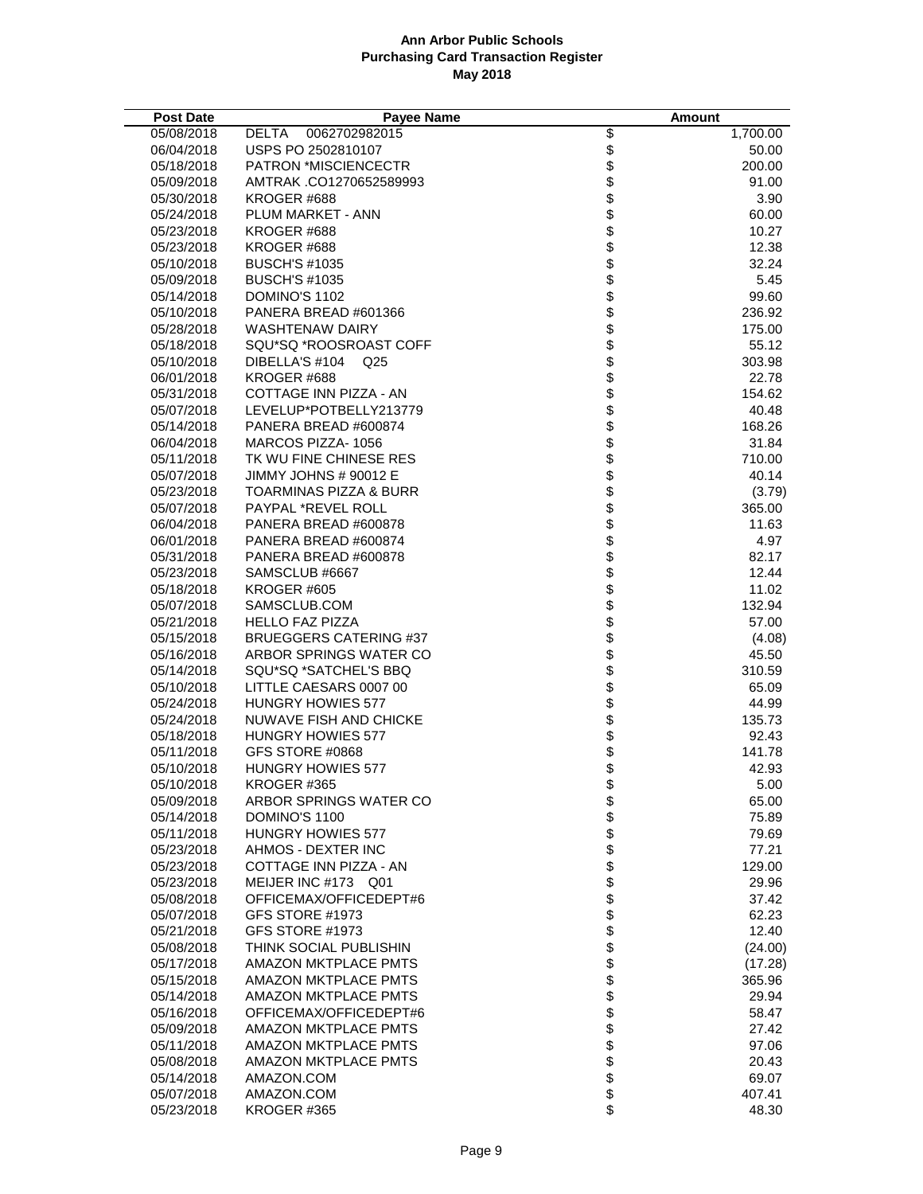| <b>Post Date</b>         | <b>Payee Name</b>                                  |                       | Amount          |
|--------------------------|----------------------------------------------------|-----------------------|-----------------|
| 05/08/2018               | DELTA<br>0062702982015                             |                       | 1,700.00        |
| 06/04/2018               | USPS PO 2502810107                                 |                       | 50.00           |
| 05/18/2018               | <b>PATRON *MISCIENCECTR</b>                        |                       | 200.00          |
| 05/09/2018               | AMTRAK .CO1270652589993                            |                       | 91.00           |
| 05/30/2018               | KROGER #688                                        |                       | 3.90            |
| 05/24/2018               | PLUM MARKET - ANN                                  |                       | 60.00           |
| 05/23/2018               | KROGER #688                                        |                       | 10.27           |
| 05/23/2018               | KROGER #688                                        |                       | 12.38           |
| 05/10/2018               | <b>BUSCH'S #1035</b>                               |                       | 32.24           |
| 05/09/2018               | <b>BUSCH'S #1035</b>                               |                       | 5.45            |
| 05/14/2018               | DOMINO'S 1102                                      |                       | 99.60           |
| 05/10/2018               | PANERA BREAD #601366                               |                       | 236.92          |
| 05/28/2018               | <b>WASHTENAW DAIRY</b>                             |                       | 175.00          |
| 05/18/2018               | SQU*SQ *ROOSROAST COFF                             |                       | 55.12           |
| 05/10/2018               | DIBELLA'S #104<br>Q <sub>25</sub>                  |                       | 303.98          |
| 06/01/2018               | KROGER #688                                        |                       | 22.78           |
| 05/31/2018               | COTTAGE INN PIZZA - AN                             |                       | 154.62          |
| 05/07/2018               | LEVELUP*POTBELLY213779                             |                       | 40.48           |
| 05/14/2018               | PANERA BREAD #600874                               |                       | 168.26          |
| 06/04/2018               | MARCOS PIZZA-1056                                  |                       | 31.84           |
| 05/11/2018               | TK WU FINE CHINESE RES                             |                       | 710.00          |
| 05/07/2018               | JIMMY JOHNS # 90012 E                              |                       | 40.14           |
| 05/23/2018               | <b>TOARMINAS PIZZA &amp; BURR</b>                  |                       | (3.79)          |
| 05/07/2018               | PAYPAL *REVEL ROLL                                 |                       | 365.00          |
| 06/04/2018               | PANERA BREAD #600878                               |                       | 11.63           |
| 06/01/2018               | PANERA BREAD #600874                               |                       | 4.97            |
| 05/31/2018               | PANERA BREAD #600878                               |                       | 82.17           |
| 05/23/2018               | SAMSCLUB #6667                                     |                       | 12.44           |
| 05/18/2018               | KROGER #605                                        |                       | 11.02           |
| 05/07/2018               | SAMSCLUB.COM                                       |                       | 132.94          |
| 05/21/2018               | <b>HELLO FAZ PIZZA</b>                             |                       | 57.00           |
| 05/15/2018               | <b>BRUEGGERS CATERING #37</b>                      |                       | (4.08)          |
| 05/16/2018               | ARBOR SPRINGS WATER CO                             |                       | 45.50           |
| 05/14/2018               | SQU*SQ *SATCHEL'S BBQ                              |                       | 310.59          |
| 05/10/2018               | LITTLE CAESARS 0007 00                             |                       | 65.09           |
| 05/24/2018<br>05/24/2018 | <b>HUNGRY HOWIES 577</b><br>NUWAVE FISH AND CHICKE |                       | 44.99<br>135.73 |
| 05/18/2018               | HUNGRY HOWIES 577                                  |                       | 92.43           |
| 05/11/2018               | GFS STORE #0868                                    |                       | 141.78          |
| 05/10/2018               | <b>HUNGRY HOWIES 577</b>                           |                       | 42.93           |
| 05/10/2018               | KROGER #365                                        | \$                    | 5.00            |
| 05/09/2018               | ARBOR SPRINGS WATER CO                             |                       | 65.00           |
| 05/14/2018               | DOMINO'S 1100                                      |                       | 75.89           |
| 05/11/2018               | <b>HUNGRY HOWIES 577</b>                           |                       | 79.69           |
| 05/23/2018               | AHMOS - DEXTER INC                                 |                       | 77.21           |
| 05/23/2018               | COTTAGE INN PIZZA - AN                             |                       | 129.00          |
| 05/23/2018               | MEIJER INC #173 Q01                                |                       | 29.96           |
| 05/08/2018               | OFFICEMAX/OFFICEDEPT#6                             |                       | 37.42           |
| 05/07/2018               | GFS STORE #1973                                    |                       | 62.23           |
| 05/21/2018               | GFS STORE #1973                                    |                       | 12.40           |
| 05/08/2018               | THINK SOCIAL PUBLISHIN                             |                       | (24.00)         |
| 05/17/2018               | <b>AMAZON MKTPLACE PMTS</b>                        | 888898888888888888888 | (17.28)         |
| 05/15/2018               | AMAZON MKTPLACE PMTS                               |                       | 365.96          |
| 05/14/2018               | AMAZON MKTPLACE PMTS                               |                       | 29.94           |
| 05/16/2018               | OFFICEMAX/OFFICEDEPT#6                             |                       | 58.47           |
| 05/09/2018               | <b>AMAZON MKTPLACE PMTS</b>                        |                       | 27.42           |
| 05/11/2018               | AMAZON MKTPLACE PMTS                               |                       | 97.06           |
| 05/08/2018               | AMAZON MKTPLACE PMTS                               |                       | 20.43           |
| 05/14/2018               | AMAZON.COM                                         |                       | 69.07           |
| 05/07/2018               | AMAZON.COM                                         |                       | 407.41          |
| 05/23/2018               | KROGER #365                                        |                       | 48.30           |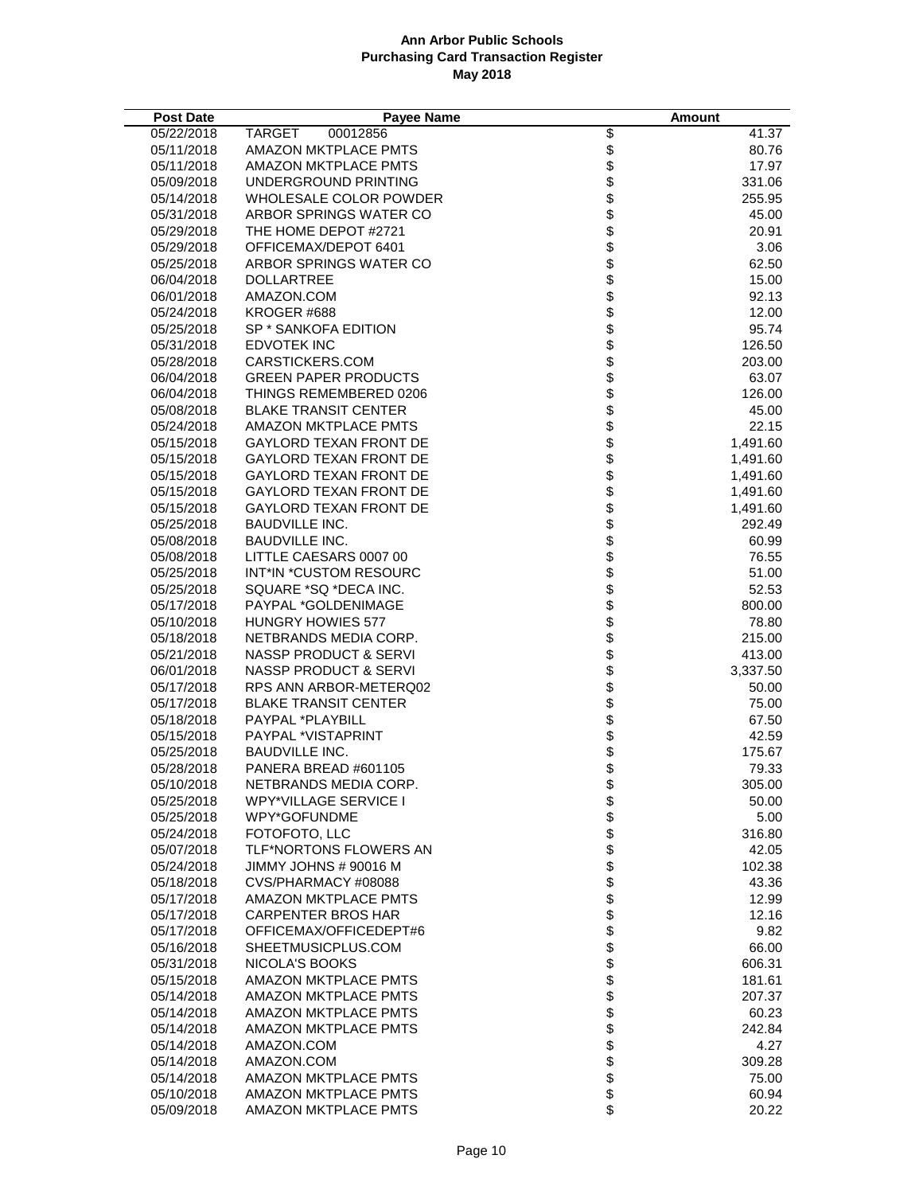| <b>Post Date</b>         | <b>Payee Name</b>                               |                                                                          | Amount         |
|--------------------------|-------------------------------------------------|--------------------------------------------------------------------------|----------------|
| 05/22/2018               | TARGET<br>00012856                              |                                                                          | 41.37          |
| 05/11/2018               | <b>AMAZON MKTPLACE PMTS</b>                     |                                                                          | 80.76          |
| 05/11/2018               | AMAZON MKTPLACE PMTS                            |                                                                          | 17.97          |
| 05/09/2018               | UNDERGROUND PRINTING                            |                                                                          | 331.06         |
| 05/14/2018               | WHOLESALE COLOR POWDER                          | \$\$\$\$\$\$\$\$\$\$\$\$                                                 | 255.95         |
| 05/31/2018               | ARBOR SPRINGS WATER CO                          |                                                                          | 45.00          |
| 05/29/2018               | THE HOME DEPOT #2721                            |                                                                          | 20.91          |
| 05/29/2018               | OFFICEMAX/DEPOT 6401                            |                                                                          | 3.06           |
| 05/25/2018               | ARBOR SPRINGS WATER CO                          |                                                                          | 62.50          |
| 06/04/2018               | <b>DOLLARTREE</b>                               |                                                                          | 15.00          |
| 06/01/2018               | AMAZON.COM                                      |                                                                          | 92.13          |
| 05/24/2018               | KROGER #688                                     |                                                                          | 12.00          |
| 05/25/2018               | SP * SANKOFA EDITION                            |                                                                          | 95.74          |
| 05/31/2018               | <b>EDVOTEK INC</b>                              |                                                                          | 126.50         |
| 05/28/2018               | CARSTICKERS.COM                                 |                                                                          | 203.00         |
| 06/04/2018               | <b>GREEN PAPER PRODUCTS</b>                     |                                                                          | 63.07          |
| 06/04/2018               | THINGS REMEMBERED 0206                          |                                                                          | 126.00         |
| 05/08/2018               | <b>BLAKE TRANSIT CENTER</b>                     |                                                                          | 45.00          |
| 05/24/2018               | <b>AMAZON MKTPLACE PMTS</b>                     |                                                                          | 22.15          |
| 05/15/2018               | <b>GAYLORD TEXAN FRONT DE</b>                   |                                                                          | 1,491.60       |
| 05/15/2018               | GAYLORD TEXAN FRONT DE                          |                                                                          | 1,491.60       |
| 05/15/2018               | GAYLORD TEXAN FRONT DE                          |                                                                          | 1,491.60       |
| 05/15/2018               | <b>GAYLORD TEXAN FRONT DE</b>                   |                                                                          | 1,491.60       |
| 05/15/2018               | <b>GAYLORD TEXAN FRONT DE</b>                   |                                                                          | 1,491.60       |
| 05/25/2018               | <b>BAUDVILLE INC.</b>                           |                                                                          | 292.49         |
| 05/08/2018               | <b>BAUDVILLE INC.</b>                           |                                                                          | 60.99          |
| 05/08/2018               | LITTLE CAESARS 0007 00                          |                                                                          | 76.55          |
| 05/25/2018               | INT*IN *CUSTOM RESOURC                          |                                                                          | 51.00          |
| 05/25/2018               | SQUARE *SQ *DECA INC.                           | \$\$\$\$\$\$\$\$\$\$\$\$\$\$\$\$\$\$\$\$\$\$\$\$\$\$\$\$\$\$\$\$\$\$\$\$ | 52.53          |
| 05/17/2018               | PAYPAL *GOLDENIMAGE                             |                                                                          | 800.00         |
| 05/10/2018               | <b>HUNGRY HOWIES 577</b>                        |                                                                          | 78.80          |
| 05/18/2018               | NETBRANDS MEDIA CORP.                           |                                                                          | 215.00         |
| 05/21/2018               | <b>NASSP PRODUCT &amp; SERVI</b>                |                                                                          | 413.00         |
| 06/01/2018               | <b>NASSP PRODUCT &amp; SERVI</b>                |                                                                          | 3,337.50       |
| 05/17/2018<br>05/17/2018 | RPS ANN ARBOR-METERQ02                          |                                                                          | 50.00          |
| 05/18/2018               | <b>BLAKE TRANSIT CENTER</b><br>PAYPAL *PLAYBILL |                                                                          | 75.00<br>67.50 |
| 05/15/2018               | PAYPAL *VISTAPRINT                              |                                                                          | 42.59          |
| 05/25/2018               | <b>BAUDVILLE INC.</b>                           |                                                                          | 175.67         |
| 05/28/2018               | PANERA BREAD #601105                            |                                                                          | 79.33          |
| 05/10/2018               | NETBRANDS MEDIA CORP.                           | \$                                                                       | 305.00         |
| 05/25/2018               | <b>WPY*VILLAGE SERVICE I</b>                    |                                                                          | 50.00          |
| 05/25/2018               | WPY*GOFUNDME                                    |                                                                          | 5.00           |
| 05/24/2018               | FOTOFOTO, LLC                                   |                                                                          | 316.80         |
| 05/07/2018               | TLF*NORTONS FLOWERS AN                          |                                                                          | 42.05          |
| 05/24/2018               | JIMMY JOHNS # 90016 M                           |                                                                          | 102.38         |
| 05/18/2018               | CVS/PHARMACY#08088                              |                                                                          | 43.36          |
| 05/17/2018               | <b>AMAZON MKTPLACE PMTS</b>                     |                                                                          | 12.99          |
| 05/17/2018               | <b>CARPENTER BROS HAR</b>                       |                                                                          | 12.16          |
| 05/17/2018               | OFFICEMAX/OFFICEDEPT#6                          |                                                                          | 9.82           |
| 05/16/2018               | SHEETMUSICPLUS.COM                              |                                                                          | 66.00          |
| 05/31/2018               | NICOLA'S BOOKS                                  |                                                                          | 606.31         |
| 05/15/2018               | AMAZON MKTPLACE PMTS                            | 8888988888888888888888                                                   | 181.61         |
| 05/14/2018               | AMAZON MKTPLACE PMTS                            |                                                                          | 207.37         |
| 05/14/2018               | <b>AMAZON MKTPLACE PMTS</b>                     |                                                                          | 60.23          |
| 05/14/2018               | <b>AMAZON MKTPLACE PMTS</b>                     |                                                                          | 242.84         |
| 05/14/2018               | AMAZON.COM                                      |                                                                          | 4.27           |
| 05/14/2018               | AMAZON.COM                                      |                                                                          | 309.28         |
| 05/14/2018               | AMAZON MKTPLACE PMTS                            |                                                                          | 75.00          |
| 05/10/2018               | <b>AMAZON MKTPLACE PMTS</b>                     |                                                                          | 60.94          |
| 05/09/2018               | <b>AMAZON MKTPLACE PMTS</b>                     |                                                                          | 20.22          |